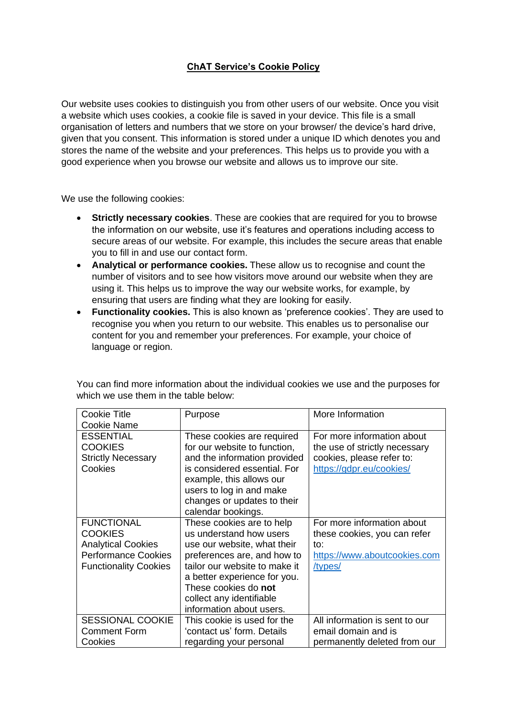## **ChAT Service's Cookie Policy**

Our website uses cookies to distinguish you from other users of our website. Once you visit a website which uses cookies, a cookie file is saved in your device. This file is a small organisation of letters and numbers that we store on your browser/ the device's hard drive, given that you consent. This information is stored under a unique ID which denotes you and stores the name of the website and your preferences. This helps us to provide you with a good experience when you browse our website and allows us to improve our site.

We use the following cookies:

- **Strictly necessary cookies**. These are cookies that are required for you to browse the information on our website, use it's features and operations including access to secure areas of our website. For example, this includes the secure areas that enable you to fill in and use our contact form.
- **Analytical or performance cookies.** These allow us to recognise and count the number of visitors and to see how visitors move around our website when they are using it. This helps us to improve the way our website works, for example, by ensuring that users are finding what they are looking for easily.
- **Functionality cookies.** This is also known as 'preference cookies'. They are used to recognise you when you return to our website. This enables us to personalise our content for you and remember your preferences. For example, your choice of language or region.

| <b>Cookie Title</b>          | Purpose                       | More Information               |
|------------------------------|-------------------------------|--------------------------------|
| Cookie Name                  |                               |                                |
| <b>ESSENTIAL</b>             | These cookies are required    | For more information about     |
| <b>COOKIES</b>               | for our website to function,  | the use of strictly necessary  |
| <b>Strictly Necessary</b>    | and the information provided  | cookies, please refer to:      |
| Cookies                      | is considered essential. For  | https://gdpr.eu/cookies/       |
|                              | example, this allows our      |                                |
|                              | users to log in and make      |                                |
|                              | changes or updates to their   |                                |
|                              | calendar bookings.            |                                |
| <b>FUNCTIONAL</b>            | These cookies are to help     | For more information about     |
| <b>COOKIES</b>               | us understand how users       | these cookies, you can refer   |
| <b>Analytical Cookies</b>    | use our website, what their   | to:                            |
| <b>Performance Cookies</b>   | preferences are, and how to   | https://www.aboutcookies.com   |
| <b>Functionality Cookies</b> | tailor our website to make it | /types/                        |
|                              | a better experience for you.  |                                |
|                              | These cookies do not          |                                |
|                              | collect any identifiable      |                                |
|                              | information about users.      |                                |
| <b>SESSIONAL COOKIE</b>      | This cookie is used for the   | All information is sent to our |
| <b>Comment Form</b>          | 'contact us' form. Details    | email domain and is            |
| Cookies                      | regarding your personal       | permanently deleted from our   |

You can find more information about the individual cookies we use and the purposes for which we use them in the table below: